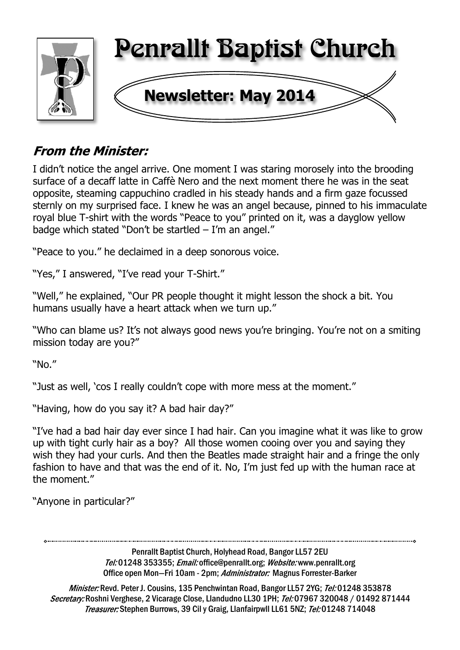

# **From the Minister:**

I didn't notice the angel arrive. One moment I was staring morosely into the brooding surface of a decaff latte in Caffè Nero and the next moment there he was in the seat opposite, steaming cappuchino cradled in his steady hands and a firm gaze focussed sternly on my surprised face. I knew he was an angel because, pinned to his immaculate royal blue T-shirt with the words "Peace to you" printed on it, was a dayglow yellow badge which stated "Don't be startled – I'm an angel."

"Peace to you." he declaimed in a deep sonorous voice.

"Yes," I answered, "I've read your T-Shirt."

"Well," he explained, "Our PR people thought it might lesson the shock a bit. You humans usually have a heart attack when we turn up."

"Who can blame us? It's not always good news you're bringing. You're not on a smiting mission today are you?"

"No."

"Just as well, 'cos I really couldn't cope with more mess at the moment."

"Having, how do you say it? A bad hair day?"

"I've had a bad hair day ever since I had hair. Can you imagine what it was like to grow up with tight curly hair as a boy? All those women cooing over you and saying they wish they had your curls. And then the Beatles made straight hair and a fringe the only fashion to have and that was the end of it. No, I'm just fed up with the human race at the moment."

"Anyone in particular?"

Penrallt Baptist Church, Holyhead Road, Bangor LL57 2EU Tel:01248 353355; Email: office@penrallt.org; Website: www.penrallt.org Office open Mon-Fri 10am - 2pm; Administrator: Magnus Forrester-Barker

Minister: Revd. Peter J. Cousins, 135 Penchwintan Road, Bangor LL57 2YG; Tel: 01248 353878 Secretary: Roshni Verghese, 2 Vicarage Close, Llandudno LL30 1PH; Tel: 07967 320048 / 01492 871444 Treasurer: Stephen Burrows, 39 Cil y Graig, Llanfairpwll LL61 5NZ; Tel: 01248 714048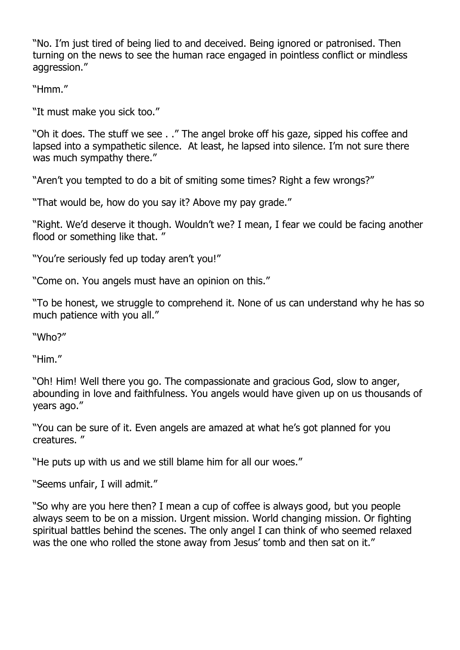"No. I'm just tired of being lied to and deceived. Being ignored or patronised. Then turning on the news to see the human race engaged in pointless conflict or mindless aggression."

"Hmm."

"It must make you sick too."

"Oh it does. The stuff we see . ." The angel broke off his gaze, sipped his coffee and lapsed into a sympathetic silence. At least, he lapsed into silence. I'm not sure there was much sympathy there."

"Aren't you tempted to do a bit of smiting some times? Right a few wrongs?"

"That would be, how do you say it? Above my pay grade."

"Right. We'd deserve it though. Wouldn't we? I mean, I fear we could be facing another flood or something like that. "

"You're seriously fed up today aren't you!"

"Come on. You angels must have an opinion on this."

"To be honest, we struggle to comprehend it. None of us can understand why he has so much patience with you all."

"Who?"

"Him."

"Oh! Him! Well there you go. The compassionate and gracious God, slow to anger, abounding in love and faithfulness. You angels would have given up on us thousands of years ago."

"You can be sure of it. Even angels are amazed at what he's got planned for you creatures. "

"He puts up with us and we still blame him for all our woes."

"Seems unfair, I will admit."

"So why are you here then? I mean a cup of coffee is always good, but you people always seem to be on a mission. Urgent mission. World changing mission. Or fighting spiritual battles behind the scenes. The only angel I can think of who seemed relaxed was the one who rolled the stone away from Jesus' tomb and then sat on it."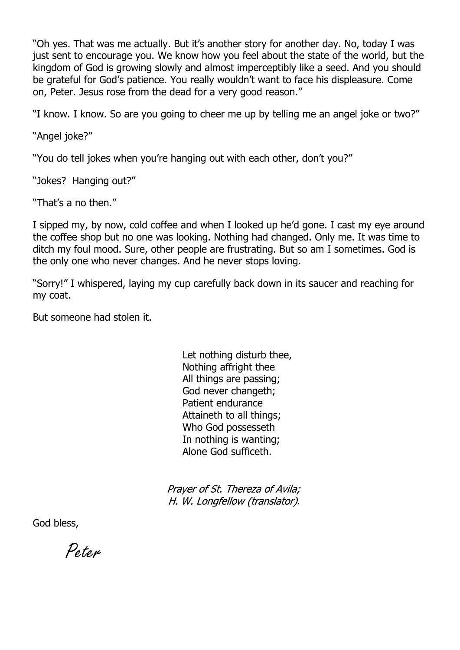"Oh yes. That was me actually. But it's another story for another day. No, today I was just sent to encourage you. We know how you feel about the state of the world, but the kingdom of God is growing slowly and almost imperceptibly like a seed. And you should be grateful for God's patience. You really wouldn't want to face his displeasure. Come on, Peter. Jesus rose from the dead for a very good reason."

"I know. I know. So are you going to cheer me up by telling me an angel joke or two?"

"Angel joke?"

"You do tell jokes when you're hanging out with each other, don't you?"

"Jokes? Hanging out?"

"That's a no then."

I sipped my, by now, cold coffee and when I looked up he'd gone. I cast my eye around the coffee shop but no one was looking. Nothing had changed. Only me. It was time to ditch my foul mood. Sure, other people are frustrating. But so am I sometimes. God is the only one who never changes. And he never stops loving.

"Sorry!" I whispered, laying my cup carefully back down in its saucer and reaching for my coat.

But someone had stolen it.

Let nothing disturb thee, Nothing affright thee All things are passing; God never changeth; Patient endurance Attaineth to all things; Who God possesseth In nothing is wanting; Alone God sufficeth.

Prayer of St. Thereza of Avila; H. W. Longfellow (translator).

God bless,

Peter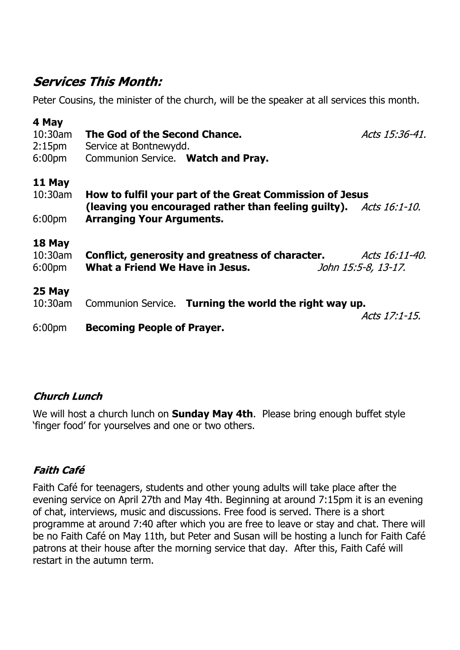## **Services This Month:**

Peter Cousins, the minister of the church, will be the speaker at all services this month.

| 4 May                                   | The God of the Second Chance.                                                                                                |
|-----------------------------------------|------------------------------------------------------------------------------------------------------------------------------|
| 10:30am                                 | Acts 15:36-41.                                                                                                               |
| 2:15 <sub>pm</sub>                      | Service at Bontnewydd.                                                                                                       |
| 6:00 <sub>pm</sub>                      | Communion Service. Watch and Pray.                                                                                           |
| 11 May                                  | How to fulfil your part of the Great Commission of Jesus                                                                     |
| 10:30am                                 | (leaving you encouraged rather than feeling guilty). $Acts 16:1-10$ .                                                        |
| 6:00 <sub>pm</sub>                      | <b>Arranging Your Arguments.</b>                                                                                             |
| 18 May<br>10:30am<br>6:00 <sub>pm</sub> | Conflict, generosity and greatness of character.<br>Acts 16:11-40.<br>What a Friend We Have in Jesus.<br>John 15:5-8, 13-17. |
| 25 May                                  | Communion Service. Turning the world the right way up.                                                                       |
| 10:30am                                 | Acts 17:1-15.                                                                                                                |
| 6:00 <sub>pm</sub>                      | <b>Becoming People of Prayer.</b>                                                                                            |

## **Church Lunch**

We will host a church lunch on **Sunday May 4th**. Please bring enough buffet style 'finger food' for yourselves and one or two others.

## **Faith Café**

Faith Café for teenagers, students and other young adults will take place after the evening service on April 27th and May 4th. Beginning at around 7:15pm it is an evening of chat, interviews, music and discussions. Free food is served. There is a short programme at around 7:40 after which you are free to leave or stay and chat. There will be no Faith Café on May 11th, but Peter and Susan will be hosting a lunch for Faith Café patrons at their house after the morning service that day. After this, Faith Café will restart in the autumn term.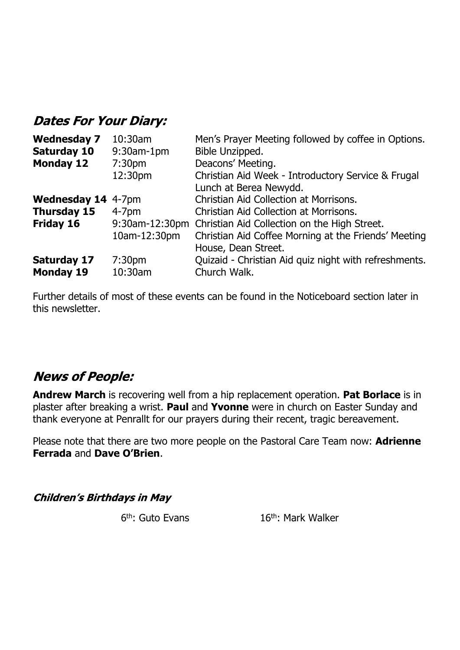## **Dates For Your Diary:**

| <b>Wednesday 7</b>               | 10:30am            | Men's Prayer Meeting followed by coffee in Options.   |  |
|----------------------------------|--------------------|-------------------------------------------------------|--|
| <b>Saturday 10</b><br>9:30am-1pm |                    | Bible Unzipped.                                       |  |
| <b>Monday 12</b>                 | 7:30 <sub>pm</sub> | Deacons' Meeting.                                     |  |
|                                  | 12:30pm            | Christian Aid Week - Introductory Service & Frugal    |  |
|                                  |                    | Lunch at Berea Newydd.                                |  |
| <b>Wednesday 14 4-7pm</b>        |                    | Christian Aid Collection at Morrisons.                |  |
| <b>Thursday 15</b>               | $4-7pm$            | Christian Aid Collection at Morrisons.                |  |
| Friday 16                        | 9:30am-12:30pm     | Christian Aid Collection on the High Street.          |  |
|                                  | 10am-12:30pm       | Christian Aid Coffee Morning at the Friends' Meeting  |  |
|                                  |                    | House, Dean Street.                                   |  |
| <b>Saturday 17</b>               | 7:30 <sub>pm</sub> | Quizaid - Christian Aid quiz night with refreshments. |  |
| <b>Monday 19</b><br>10:30am      |                    | Church Walk.                                          |  |

Further details of most of these events can be found in the Noticeboard section later in this newsletter.

## **News of People:**

**Andrew March** is recovering well from a hip replacement operation. **Pat Borlace** is in plaster after breaking a wrist. **Paul** and **Yvonne** were in church on Easter Sunday and thank everyone at Penrallt for our prayers during their recent, tragic bereavement.

Please note that there are two more people on the Pastoral Care Team now: **Adrienne Ferrada** and **Dave O'Brien**.

**Children's Birthdays in May** 

 $6<sup>th</sup>$ : Guto Evans

16<sup>th</sup>: Mark Walker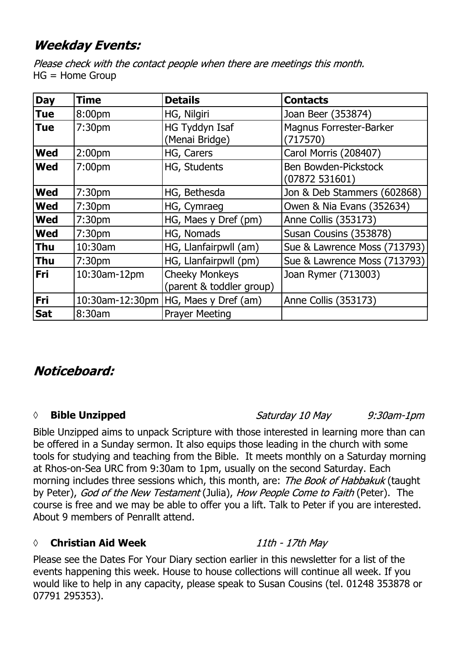# **Weekday Events:**

Please check with the contact people when there are meetings this month. HG = Home Group

| <b>Day</b> | <b>Time</b>        | <b>Details</b>                                    | <b>Contacts</b>                            |
|------------|--------------------|---------------------------------------------------|--------------------------------------------|
| <b>Tue</b> | 8:00pm             | HG, Nilgiri                                       | Joan Beer (353874)                         |
| Tue        | 7:30 <sub>pm</sub> | HG Tyddyn Isaf<br>(Menai Bridge)                  | <b>Magnus Forrester-Barker</b><br>(717570) |
| <b>Wed</b> | 2:00pm             | HG, Carers                                        | Carol Morris (208407)                      |
| <b>Wed</b> | 7:00 <sub>pm</sub> | HG, Students                                      | Ben Bowden-Pickstock<br>(07872531601)      |
| <b>Wed</b> | 7:30 <sub>pm</sub> | HG, Bethesda                                      | Jon & Deb Stammers (602868)                |
| <b>Wed</b> | 7:30pm             | HG, Cymraeg                                       | Owen & Nia Evans (352634)                  |
| <b>Wed</b> | 7:30 <sub>pm</sub> | HG, Maes y Dref (pm)                              | Anne Collis (353173)                       |
| <b>Wed</b> | 7:30 <sub>pm</sub> | HG, Nomads                                        | Susan Cousins (353878)                     |
| Thu        | 10:30am            | HG, Llanfairpwll (am)                             | Sue & Lawrence Moss (713793)               |
| <b>Thu</b> | 7:30 <sub>pm</sub> | HG, Llanfairpwll (pm)                             | Sue & Lawrence Moss (713793)               |
| <b>Fri</b> | 10:30am-12pm       | <b>Cheeky Monkeys</b><br>(parent & toddler group) | Joan Rymer (713003)                        |
| Fri        | 10:30am-12:30pm    | HG, Maes y Dref (am)                              | Anne Collis (353173)                       |
| <b>Sat</b> | 8:30am             | <b>Prayer Meeting</b>                             |                                            |

## Noticeboard:

#### **◊ Bible Unzipped**

Saturday 10 May  $9:30$ am-1 $pm$ 

Bible Unzipped aims to unpack Scripture with those interested in learning more than can be offered in a Sunday sermon. It also equips those leading in the church with some tools for studying and teaching from the Bible. It meets monthly on a Saturday morning at Rhos-on-Sea URC from 9:30am to 1pm, usually on the second Saturday. Each morning includes three sessions which, this month, are: The Book of Habbakuk (taught by Peter), God of the New Testament (Julia), How People Come to Faith (Peter). The course is free and we may be able to offer you a lift. Talk to Peter if you are interested. About 9 members of Penrallt attend.

### *◊* **Christian Aid Week**

Please see the Dates For Your Diary section earlier in this newsletter for a list of the events happening this week. House to house collections will continue all week. If you would like to help in any capacity, please speak to Susan Cousins (tel. 01248 353878 or 07791 295353).

#### 11th - 17th May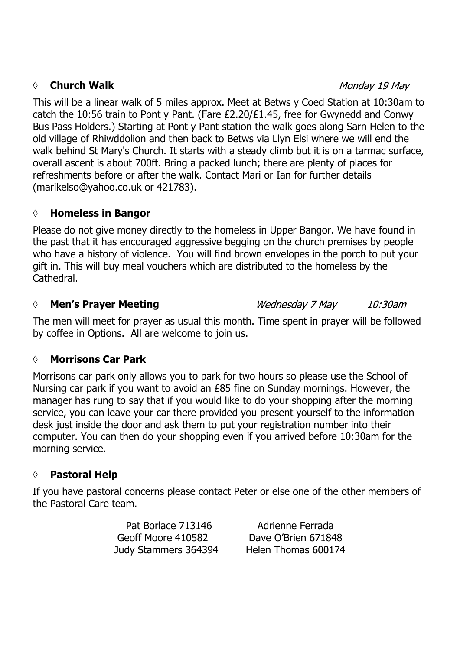#### *◊* **Church Walk**

Monday 19 May

This will be a linear walk of 5 miles approx. Meet at Betws y Coed Station at 10:30am to catch the 10:56 train to Pont y Pant. (Fare £2.20/£1.45, free for Gwynedd and Conwy Bus Pass Holders.) Starting at Pont y Pant station the walk goes along Sarn Helen to the old village of Rhiwddolion and then back to Betws via Llyn Elsi where we will end the walk behind St Mary's Church. It starts with a steady climb but it is on a tarmac surface, overall ascent is about 700ft. Bring a packed lunch; there are plenty of places for refreshments before or after the walk. Contact Mari or Ian for further details (marikelso@yahoo.co.uk or 421783).

### **◊ Homeless in Bangor**

Please do not give money directly to the homeless in Upper Bangor. We have found in the past that it has encouraged aggressive begging on the church premises by people who have a history of violence. You will find brown envelopes in the porch to put your gift in. This will buy meal vouchers which are distributed to the homeless by the Cathedral.

### *◊* **Men's Prayer Meeting**

Wednesday 7 May 10:30am

The men will meet for prayer as usual this month. Time spent in prayer will be followed by coffee in Options. All are welcome to join us.

### **◊ Morrisons Car Park**

Morrisons car park only allows you to park for two hours so please use the School of Nursing car park if you want to avoid an £85 fine on Sunday mornings. However, the manager has rung to say that if you would like to do your shopping after the morning service, you can leave your car there provided you present yourself to the information desk just inside the door and ask them to put your registration number into their computer. You can then do your shopping even if you arrived before 10:30am for the morning service.

### **◊ Pastoral Help**

If you have pastoral concerns please contact Peter or else one of the other members of the Pastoral Care team.

> Pat Borlace 713146 Adrienne Ferrada Geoff Moore 410582 Dave O'Brien 671848 Judy Stammers 364394 Helen Thomas 600174